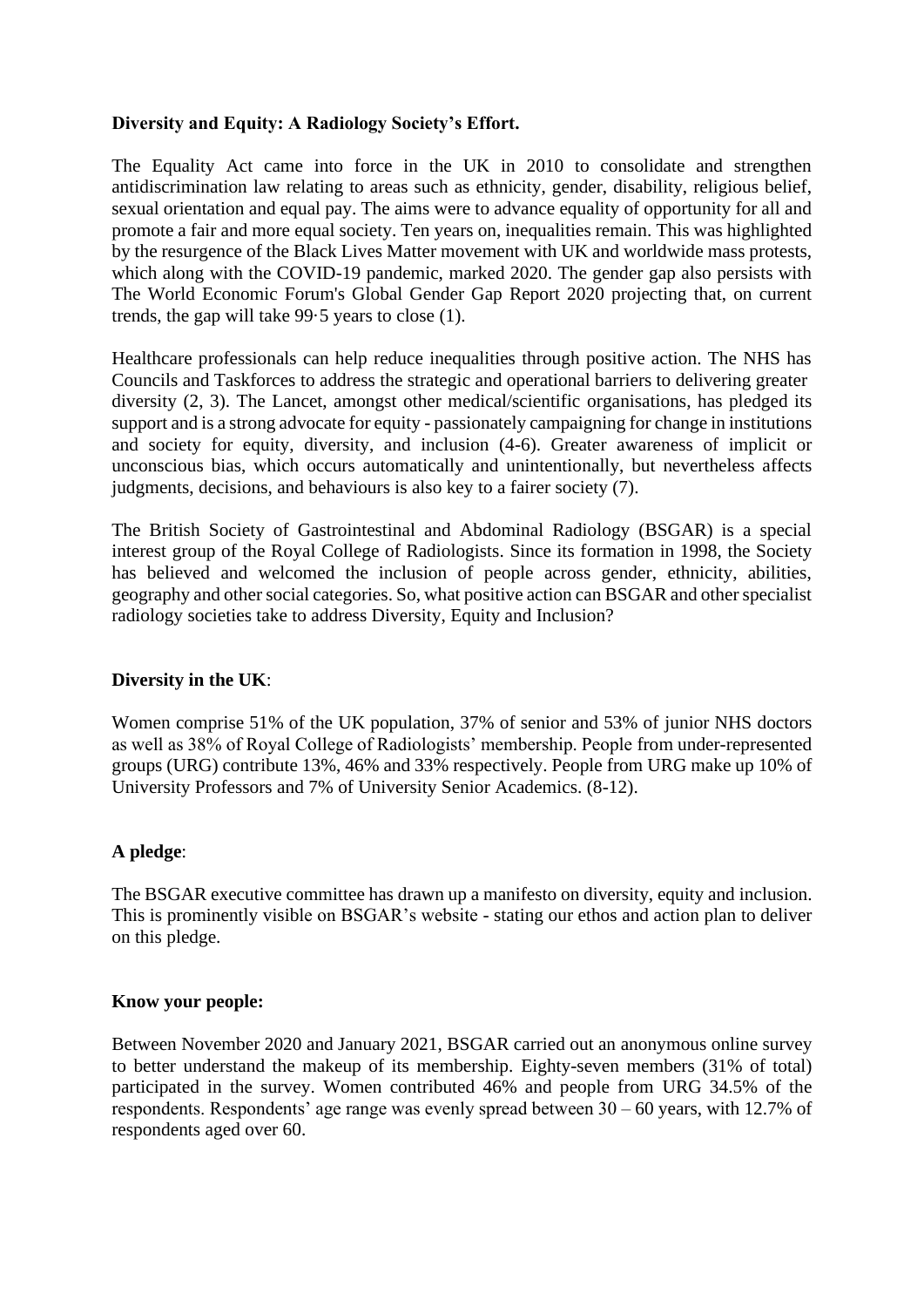# **Diversity and Equity: A Radiology Society's Effort.**

The Equality Act came into force in the UK in 2010 to consolidate and strengthen antidiscrimination law relating to areas such as ethnicity, gender, disability, religious belief, sexual orientation and equal pay. The aims were to advance equality of opportunity for all and promote a fair and more equal society. Ten years on, inequalities remain. This was highlighted by the resurgence of the Black Lives Matter movement with UK and worldwide mass protests, which along with the COVID-19 pandemic, marked 2020. The gender gap also persists with The World Economic Forum's Global Gender Gap Report 2020 projecting that, on current trends, the gap will take 99·5 years to close (1).

Healthcare professionals can help reduce inequalities through positive action. The NHS has Councils and Taskforces to address the strategic and operational barriers to delivering greater diversity (2, 3). The Lancet, amongst other medical/scientific organisations, has pledged its support and is a strong advocate for equity - passionately campaigning for change in institutions and society for equity, diversity, and inclusion (4-6). Greater awareness of implicit or unconscious bias, which occurs automatically and unintentionally, but nevertheless affects judgments, decisions, and behaviours is also key to a fairer society (7).

The British Society of Gastrointestinal and Abdominal Radiology (BSGAR) is a special interest group of the Royal College of Radiologists. Since its formation in 1998, the Society has believed and welcomed the inclusion of people across gender, ethnicity, abilities, geography and other social categories. So, what positive action can BSGAR and other specialist radiology societies take to address Diversity, Equity and Inclusion?

## **Diversity in the UK**:

Women comprise 51% of the UK population, 37% of senior and 53% of junior NHS doctors as well as 38% of Royal College of Radiologists' membership. People from under-represented groups (URG) contribute 13%, 46% and 33% respectively. People from URG make up 10% of University Professors and 7% of University Senior Academics. (8-12).

# **A pledge**:

The BSGAR executive committee has drawn up a manifesto on diversity, equity and inclusion. This is prominently visible on BSGAR's website - stating our ethos and action plan to deliver on this pledge.

## **Know your people:**

Between November 2020 and January 2021, BSGAR carried out an anonymous online survey to better understand the makeup of its membership. Eighty-seven members (31% of total) participated in the survey. Women contributed 46% and people from URG 34.5% of the respondents. Respondents' age range was evenly spread between 30 – 60 years, with 12.7% of respondents aged over 60.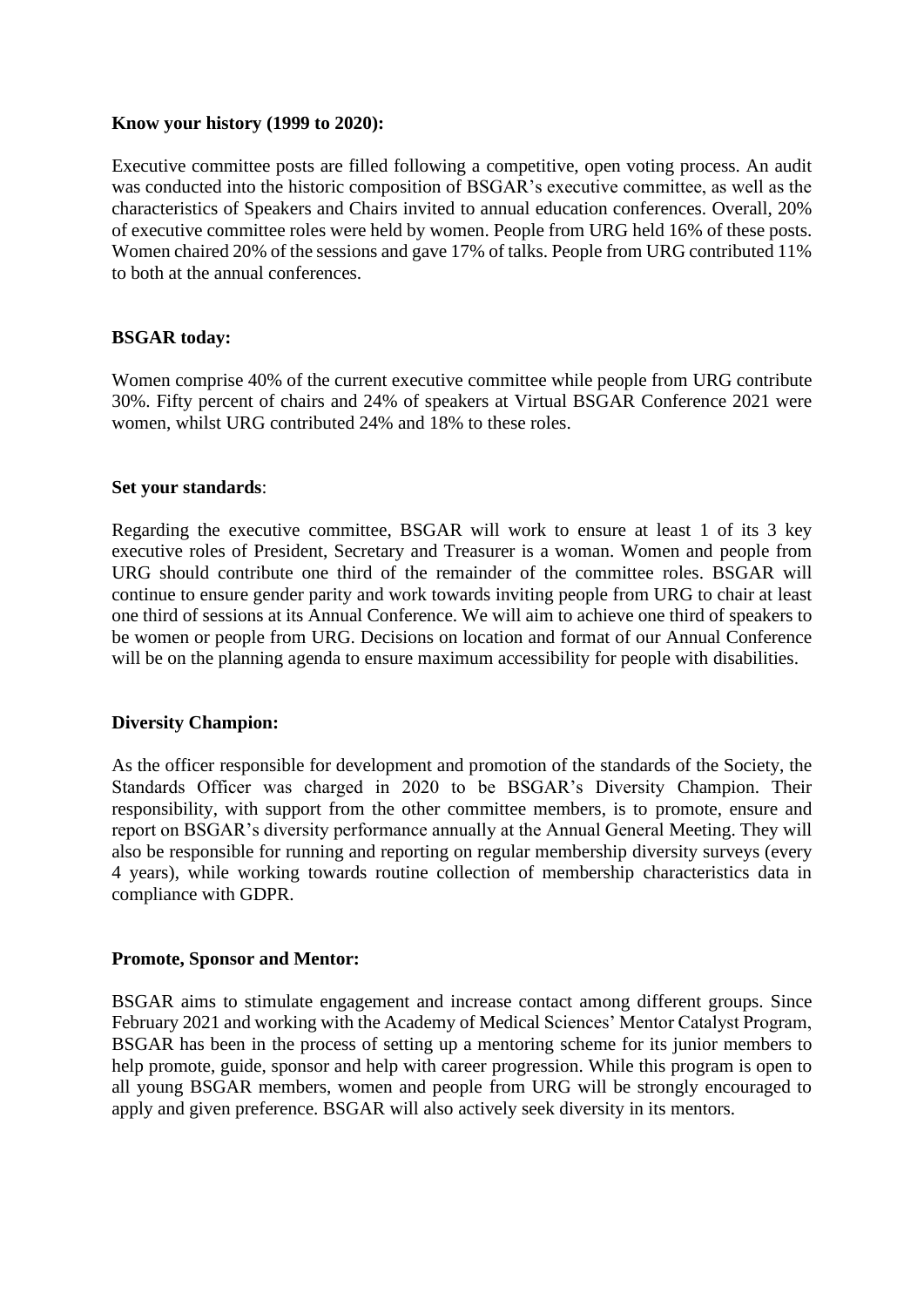## **Know your history (1999 to 2020):**

Executive committee posts are filled following a competitive, open voting process. An audit was conducted into the historic composition of BSGAR's executive committee, as well as the characteristics of Speakers and Chairs invited to annual education conferences. Overall, 20% of executive committee roles were held by women. People from URG held 16% of these posts. Women chaired 20% of the sessions and gave 17% of talks. People from URG contributed 11% to both at the annual conferences.

## **BSGAR today:**

Women comprise 40% of the current executive committee while people from URG contribute 30%. Fifty percent of chairs and 24% of speakers at Virtual BSGAR Conference 2021 were women, whilst URG contributed 24% and 18% to these roles.

## **Set your standards**:

Regarding the executive committee, BSGAR will work to ensure at least 1 of its 3 key executive roles of President, Secretary and Treasurer is a woman. Women and people from URG should contribute one third of the remainder of the committee roles. BSGAR will continue to ensure gender parity and work towards inviting people from URG to chair at least one third of sessions at its Annual Conference. We will aim to achieve one third of speakers to be women or people from URG. Decisions on location and format of our Annual Conference will be on the planning agenda to ensure maximum accessibility for people with disabilities.

## **Diversity Champion:**

As the officer responsible for development and promotion of the standards of the Society, the Standards Officer was charged in 2020 to be BSGAR's Diversity Champion. Their responsibility, with support from the other committee members, is to promote, ensure and report on BSGAR's diversity performance annually at the Annual General Meeting. They will also be responsible for running and reporting on regular membership diversity surveys (every 4 years), while working towards routine collection of membership characteristics data in compliance with GDPR.

## **Promote, Sponsor and Mentor:**

BSGAR aims to stimulate engagement and increase contact among different groups. Since February 2021 and working with the Academy of Medical Sciences' Mentor Catalyst Program, BSGAR has been in the process of setting up a mentoring scheme for its junior members to help promote, guide, sponsor and help with career progression. While this program is open to all young BSGAR members, women and people from URG will be strongly encouraged to apply and given preference. BSGAR will also actively seek diversity in its mentors.